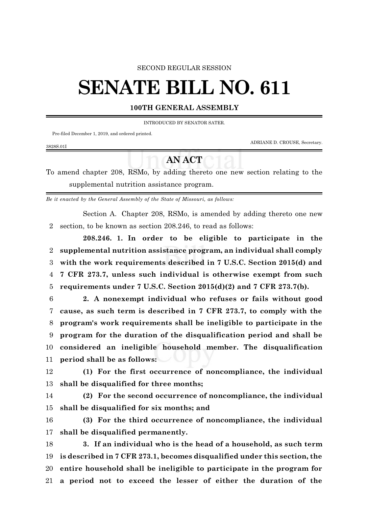## SECOND REGULAR SESSION

## **SENATE BILL NO. 611**

## **100TH GENERAL ASSEMBLY**

INTRODUCED BY SENATOR SATER.

Pre-filed December 1, 2019, and ordered printed.

ADRIANE D. CROUSE, Secretary.

## **AN ACT**

To amend chapter 208, RSMo, by adding thereto one new section relating to the supplemental nutrition assistance program.

*Be it enacted by the General Assembly of the State of Missouri, as follows:*

Section A. Chapter 208, RSMo, is amended by adding thereto one new section, to be known as section 208.246, to read as follows:

**208.246. 1. In order to be eligible to participate in the supplemental nutrition assistance program, an individual shall comply with the work requirements described in 7 U.S.C. Section 2015(d) and 7 CFR 273.7, unless such individual is otherwise exempt from such requirements under 7 U.S.C. Section 2015(d)(2) and 7 CFR 273.7(b).**

 **2. A nonexempt individual who refuses or fails without good cause, as such term is described in 7 CFR 273.7, to comply with the program's work requirements shall be ineligible to participate in the program for the duration of the disqualification period and shall be considered an ineligible household member. The disqualification period shall be as follows:**

 **(1) For the first occurrence of noncompliance, the individual shall be disqualified for three months;**

 **(2) For the second occurrence of noncompliance, the individual shall be disqualified for six months; and**

 **(3) For the third occurrence of noncompliance, the individual shall be disqualified permanently.**

 **3. If an individual who is the head of a household, as such term is described in 7 CFR 273.1, becomes disqualified under this section, the entire household shall be ineligible to participate in the program for a period not to exceed the lesser of either the duration of the**

3828S.01I